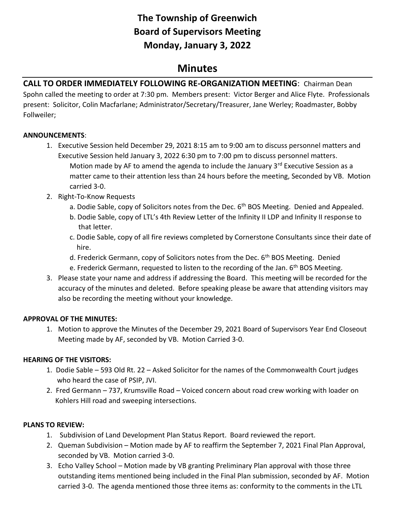# **The Township of Greenwich Board of Supervisors Meeting Monday, January 3, 2022**

## **Minutes**

## **CALL TO ORDER IMMEDIATELY FOLLOWING RE-ORGANIZATION MEETING**: Chairman Dean

Spohn called the meeting to order at 7:30 pm. Members present: Victor Berger and Alice Flyte. Professionals present: Solicitor, Colin Macfarlane; Administrator/Secretary/Treasurer, Jane Werley; Roadmaster, Bobby Follweiler;

#### **ANNOUNCEMENTS**:

- 1. Executive Session held December 29, 2021 8:15 am to 9:00 am to discuss personnel matters and Executive Session held January 3, 2022 6:30 pm to 7:00 pm to discuss personnel matters. Motion made by AF to amend the agenda to include the January  $3<sup>rd</sup>$  Executive Session as a matter came to their attention less than 24 hours before the meeting, Seconded by VB. Motion carried 3-0.
- 2. Right-To-Know Requests
	- a. Dodie Sable, copy of Solicitors notes from the Dec.  $6<sup>th</sup>$  BOS Meeting. Denied and Appealed.
	- b. Dodie Sable, copy of LTL's 4th Review Letter of the Infinity II LDP and Infinity II response to that letter.
	- c. Dodie Sable, copy of all fire reviews completed by Cornerstone Consultants since their date of hire.
	- d. Frederick Germann, copy of Solicitors notes from the Dec.  $6<sup>th</sup>$  BOS Meeting. Denied
	- e. Frederick Germann, requested to listen to the recording of the Jan.  $6<sup>th</sup>$  BOS Meeting.
- 3. Please state your name and address if addressing the Board. This meeting will be recorded for the accuracy of the minutes and deleted. Before speaking please be aware that attending visitors may also be recording the meeting without your knowledge.

## **APPROVAL OF THE MINUTES:**

1. Motion to approve the Minutes of the December 29, 2021 Board of Supervisors Year End Closeout Meeting made by AF, seconded by VB. Motion Carried 3-0.

## **HEARING OF THE VISITORS:**

- 1. Dodie Sable 593 Old Rt. 22 Asked Solicitor for the names of the Commonwealth Court judges who heard the case of PSIP, JVI.
- 2. Fred Germann 737, Krumsville Road Voiced concern about road crew working with loader on Kohlers Hill road and sweeping intersections.

## **PLANS TO REVIEW:**

- 1. Subdivision of Land Development Plan Status Report. Board reviewed the report.
- 2. Queman Subdivision Motion made by AF to reaffirm the September 7, 2021 Final Plan Approval, seconded by VB. Motion carried 3-0.
- 3. Echo Valley School Motion made by VB granting Preliminary Plan approval with those three outstanding items mentioned being included in the Final Plan submission, seconded by AF. Motion carried 3-0. The agenda mentioned those three items as: conformity to the comments in the LTL